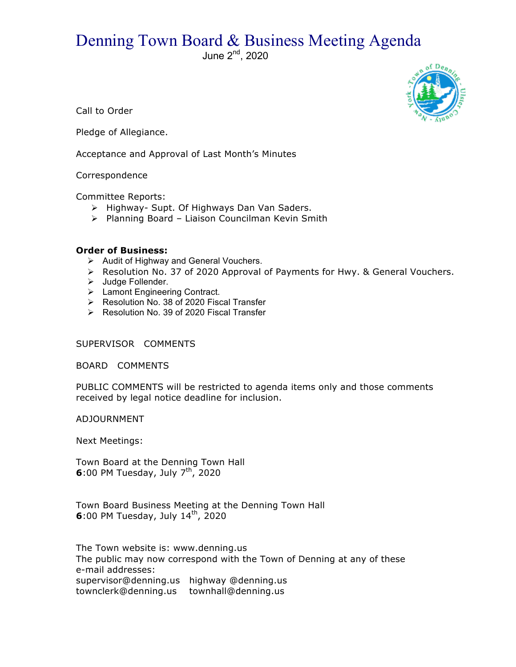## Denning Town Board & Business Meeting Agenda

June  $2<sup>nd</sup>$ , 2020



Call to Order

Pledge of Allegiance.

Acceptance and Approval of Last Month's Minutes

## Correspondence

Committee Reports:

- > Highway- Supt. Of Highways Dan Van Saders.
- > Planning Board Liaison Councilman Kevin Smith

## **Order of Business:**

- $\triangleright$  Audit of Highway and General Vouchers.
- $\triangleright$  Resolution No. 37 of 2020 Approval of Payments for Hwy. & General Vouchers.
- > Judge Follender.
- > Lamont Engineering Contract.
- ▶ Resolution No. 38 of 2020 Fiscal Transfer
- $\triangleright$  Resolution No. 39 of 2020 Fiscal Transfer

## SUPERVISOR COMMENTS

BOARD COMMENTS

PUBLIC COMMENTS will be restricted to agenda items only and those comments received by legal notice deadline for inclusion.

ADJOURNMENT

Next Meetings:

Town Board at the Denning Town Hall **6**:00 PM Tuesday, July  $7<sup>th</sup>$ , 2020

Town Board Business Meeting at the Denning Town Hall **6**:00 PM Tuesday, July 14<sup>th</sup>, 2020

The Town website is: www.denning.us The public may now correspond with the Town of Denning at any of these e-mail addresses: supervisor@denning.us highway @denning.us townclerk@denning.us townhall@denning.us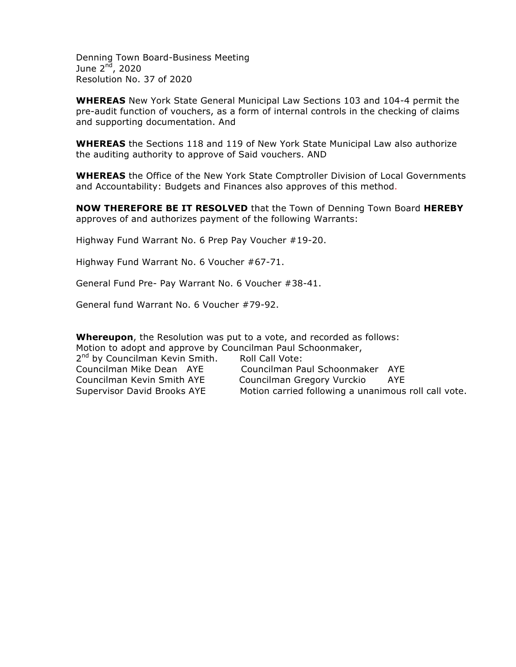Denning Town Board-Business Meeting June  $2<sup>n\bar{d}</sup>$ , 2020 Resolution No. 37 of 2020

**WHEREAS** New York State General Municipal Law Sections 103 and 104-4 permit the pre-audit function of vouchers, as a form of internal controls in the checking of claims and supporting documentation. And

**WHEREAS** the Sections 118 and 119 of New York State Municipal Law also authorize the auditing authority to approve of Said vouchers. AND

**WHEREAS** the Office of the New York State Comptroller Division of Local Governments and Accountability: Budgets and Finances also approves of this method.

**NOW THEREFORE BE IT RESOLVED** that the Town of Denning Town Board **HEREBY** approves of and authorizes payment of the following Warrants:

Highway Fund Warrant No. 6 Prep Pay Voucher #19-20.

Highway Fund Warrant No. 6 Voucher #67-71.

General Fund Pre- Pay Warrant No. 6 Voucher #38-41.

General fund Warrant No. 6 Voucher #79-92.

**Whereupon**, the Resolution was put to a vote, and recorded as follows: Motion to adopt and approve by Councilman Paul Schoonmaker, 2<sup>nd</sup> by Councilman Kevin Smith. Roll Call Vote: Councilman Mike Dean AYE Councilman Paul Schoonmaker AYE Councilman Kevin Smith AYE Councilman Gregory Vurckio AYE Supervisor David Brooks AYE Motion carried following a unanimous roll call vote.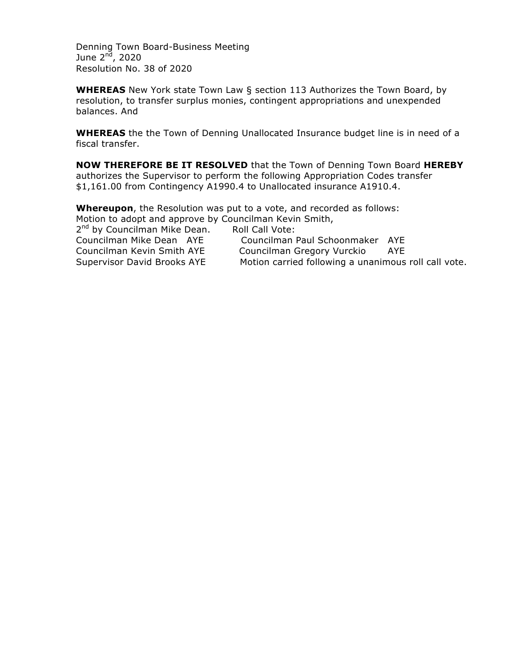Denning Town Board-Business Meeting June  $2<sup>nd</sup>$ , 2020 Resolution No. 38 of 2020

**WHEREAS** New York state Town Law § section 113 Authorizes the Town Board, by resolution, to transfer surplus monies, contingent appropriations and unexpended balances. And

**WHEREAS** the the Town of Denning Unallocated Insurance budget line is in need of a fiscal transfer.

**NOW THEREFORE BE IT RESOLVED** that the Town of Denning Town Board **HEREBY**  authorizes the Supervisor to perform the following Appropriation Codes transfer \$1,161.00 from Contingency A1990.4 to Unallocated insurance A1910.4.

**Whereupon**, the Resolution was put to a vote, and recorded as follows: Motion to adopt and approve by Councilman Kevin Smith, 2<sup>nd</sup> by Councilman Mike Dean. Roll Call Vote: Councilman Mike Dean AYE Councilman Paul Schoonmaker AYE Councilman Kevin Smith AYE Councilman Gregory Vurckio AYE Supervisor David Brooks AYE Motion carried following a unanimous roll call vote.